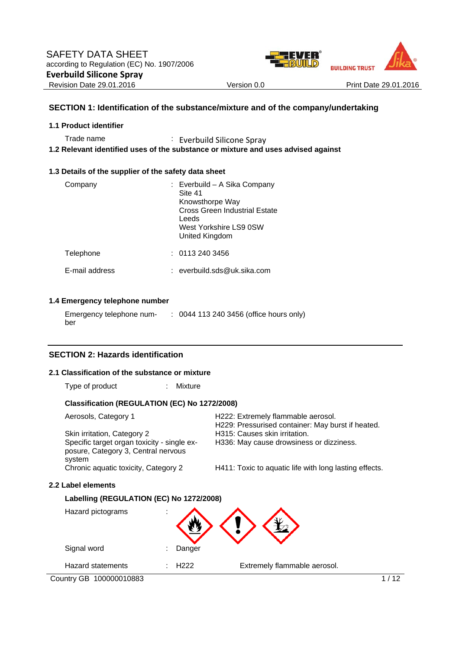



# **SECTION 1: Identification of the substance/mixture and of the company/undertaking**

## **1.1 Product identifier**

Trade name : Everbuild Silicone Spray

**1.2 Relevant identified uses of the substance or mixture and uses advised against** 

## **1.3 Details of the supplier of the safety data sheet**

| Company        | : Everbuild - A Sika Company<br>Site 41<br>Knowsthorpe Way<br>Cross Green Industrial Estate<br>Leeds<br>West Yorkshire LS9 0SW<br>United Kingdom |
|----------------|--------------------------------------------------------------------------------------------------------------------------------------------------|
| Telephone      | : 01132403456                                                                                                                                    |
| E-mail address | everbuild.sds@uk.sika.com                                                                                                                        |

# **1.4 Emergency telephone number**

| Emergency telephone num- | : 0044 113 240 3456 (office hours only) |  |
|--------------------------|-----------------------------------------|--|
| ber                      |                                         |  |

# **SECTION 2: Hazards identification**

## **2.1 Classification of the substance or mixture**

Type of product : Mixture

## **Classification (REGULATION (EC) No 1272/2008)**

| Aerosols, Category 1                                                               | H222: Extremely flammable aerosol.<br>H229: Pressurised container: May burst if heated. |
|------------------------------------------------------------------------------------|-----------------------------------------------------------------------------------------|
| Skin irritation, Category 2                                                        | H315: Causes skin irritation.                                                           |
| Specific target organ toxicity - single ex-<br>posure, Category 3, Central nervous | H336: May cause drowsiness or dizziness.                                                |
| system                                                                             |                                                                                         |
| Chronic aquatic toxicity, Category 2                                               | H411: Toxic to aquatic life with long lasting effects.                                  |

#### **2.2 Label elements**

# **Labelling (REGULATION (EC) No 1272/2008)**

| Hazard pictograms        | ٠                |                              |
|--------------------------|------------------|------------------------------|
| Signal word              | Danger<br>٠      |                              |
| <b>Hazard statements</b> | H <sub>222</sub> | Extremely flammable aerosol. |

Country GB 100000010883 1/12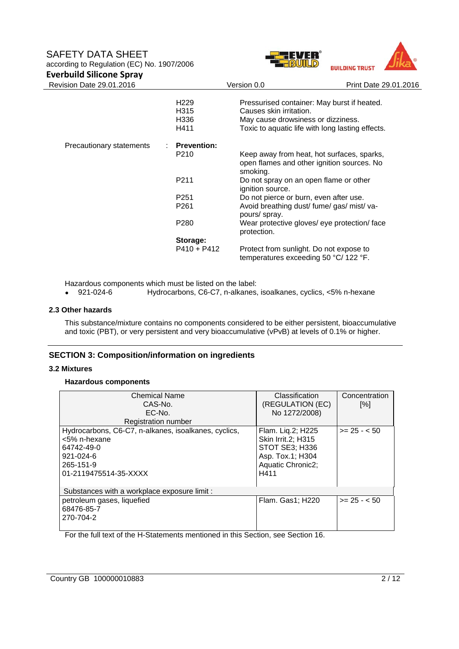# SAFETY DATA SHEET

according to Regulation (EC) No. 1907/2006





| <b>Everbuild Silicone Spray</b> |                    |                                                                                                      |                       |
|---------------------------------|--------------------|------------------------------------------------------------------------------------------------------|-----------------------|
| Revision Date 29.01.2016        |                    | Version 0.0                                                                                          | Print Date 29.01.2016 |
|                                 | H <sub>229</sub>   | Pressurised container: May burst if heated.                                                          |                       |
|                                 | H315               | Causes skin irritation.                                                                              |                       |
|                                 | H336               | May cause drowsiness or dizziness.                                                                   |                       |
|                                 | H411               | Toxic to aquatic life with long lasting effects.                                                     |                       |
| Precautionary statements        | <b>Prevention:</b> |                                                                                                      |                       |
|                                 | P <sub>210</sub>   | Keep away from heat, hot surfaces, sparks,<br>open flames and other ignition sources. No<br>smoking. |                       |
|                                 | P211               | Do not spray on an open flame or other<br>ignition source.                                           |                       |
|                                 | P <sub>251</sub>   | Do not pierce or burn, even after use.                                                               |                       |
|                                 | P <sub>261</sub>   | Avoid breathing dust/ fume/ gas/ mist/ va-<br>pours/ spray.                                          |                       |
|                                 | P <sub>280</sub>   | Wear protective gloves/ eye protection/ face<br>protection.                                          |                       |
|                                 | Storage:           |                                                                                                      |                       |
|                                 | $P410 + P412$      | Protect from sunlight. Do not expose to<br>temperatures exceeding 50 °C/ 122 °F.                     |                       |

Hazardous components which must be listed on the label:

921-024-6 Hydrocarbons, C6-C7, n-alkanes, isoalkanes, cyclics, <5% n-hexane

#### **2.3 Other hazards**

This substance/mixture contains no components considered to be either persistent, bioaccumulative and toxic (PBT), or very persistent and very bioaccumulative (vPvB) at levels of 0.1% or higher.

# **SECTION 3: Composition/information on ingredients**

#### **3.2 Mixtures**

#### **Hazardous components**

| <b>Chemical Name</b><br>CAS-No.<br>EC-No.<br>Registration number                                                                            | Classification<br>(REGULATION (EC)<br>No 1272/2008)                                                               | Concentration<br>[%] |
|---------------------------------------------------------------------------------------------------------------------------------------------|-------------------------------------------------------------------------------------------------------------------|----------------------|
| Hydrocarbons, C6-C7, n-alkanes, isoalkanes, cyclics,<br><5% n-hexane<br>64742-49-0<br>$921 - 024 - 6$<br>265-151-9<br>01-2119475514-35-XXXX | Flam. Liq.2; H225<br><b>Skin Irrit.2; H315</b><br>STOT SE3; H336<br>Asp. Tox.1; H304<br>Aquatic Chronic2;<br>H411 | $>= 25 - 50$         |
| Substances with a workplace exposure limit :                                                                                                |                                                                                                                   |                      |
| petroleum gases, liquefied<br>68476-85-7<br>270-704-2                                                                                       | Flam. Gas1; H220                                                                                                  | $>= 25 - 50$         |

For the full text of the H-Statements mentioned in this Section, see Section 16.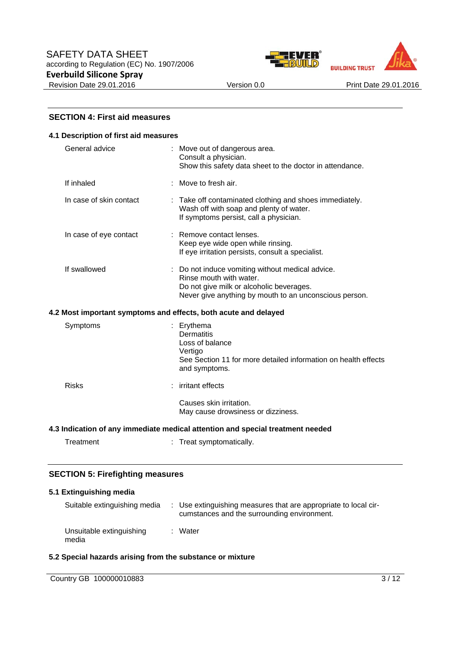



## **SECTION 4: First aid measures**

#### **4.1 Description of first aid measures**

| General advice          | : Move out of dangerous area.<br>Consult a physician.<br>Show this safety data sheet to the doctor in attendance.                                                                 |
|-------------------------|-----------------------------------------------------------------------------------------------------------------------------------------------------------------------------------|
| If inhaled              | $\therefore$ Move to fresh air.                                                                                                                                                   |
| In case of skin contact | : Take off contaminated clothing and shoes immediately.<br>Wash off with soap and plenty of water.<br>If symptoms persist, call a physician.                                      |
| In case of eye contact  | : Remove contact lenses.<br>Keep eye wide open while rinsing.<br>If eye irritation persists, consult a specialist.                                                                |
| If swallowed            | : Do not induce vomiting without medical advice.<br>Rinse mouth with water.<br>Do not give milk or alcoholic beverages.<br>Never give anything by mouth to an unconscious person. |
|                         | 4.2 Most important symptoms and effects, both acute and delayed                                                                                                                   |
| Symptoms                | : Erythema<br>Dermatitis<br>Loss of balance<br>Vertigo<br>See Section 11 for more detailed information on health effects<br>and symptoms.                                         |
| <b>Risks</b>            | irritant effects                                                                                                                                                                  |

 Causes skin irritation. May cause drowsiness or dizziness.

## **4.3 Indication of any immediate medical attention and special treatment needed**

Treatment : Treat symptomatically.

## **SECTION 5: Firefighting measures**

|       | 5.1 Extinguishing media      |                                                                                                                |
|-------|------------------------------|----------------------------------------------------------------------------------------------------------------|
|       | Suitable extinguishing media | : Use extinguishing measures that are appropriate to local cir-<br>cumstances and the surrounding environment. |
| media | Unsuitable extinguishing     | : Water                                                                                                        |

## **5.2 Special hazards arising from the substance or mixture**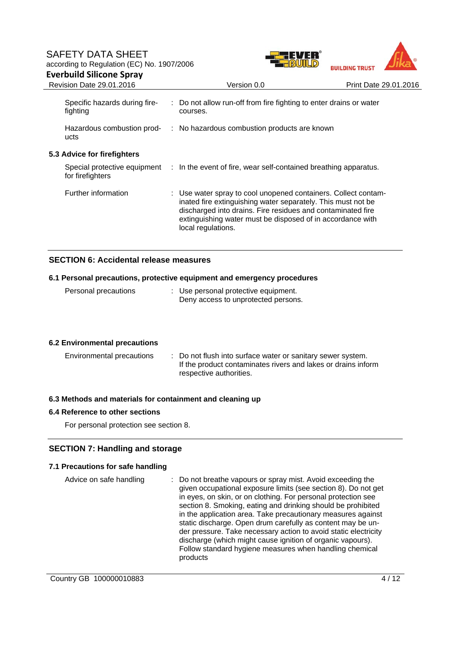# SAFETY DATA SHEET according to Regulation (EC) No. 1907/2006 **Everbuild Silicone Spray**





| <b>Revision Date 29.01.2016</b>           | Version 0.0                                                                                                                                                                                                                                                                       | Print Date 29.01.2016 |
|-------------------------------------------|-----------------------------------------------------------------------------------------------------------------------------------------------------------------------------------------------------------------------------------------------------------------------------------|-----------------------|
| Specific hazards during fire-<br>fighting | : Do not allow run-off from fire fighting to enter drains or water<br>courses.                                                                                                                                                                                                    |                       |
| Hazardous combustion prod-<br>ucts        | : No hazardous combustion products are known                                                                                                                                                                                                                                      |                       |
| 5.3 Advice for firefighters               |                                                                                                                                                                                                                                                                                   |                       |
| for firefighters                          | Special protective equipment : In the event of fire, wear self-contained breathing apparatus.                                                                                                                                                                                     |                       |
| Further information                       | : Use water spray to cool unopened containers. Collect contam-<br>inated fire extinguishing water separately. This must not be<br>discharged into drains. Fire residues and contaminated fire<br>extinguishing water must be disposed of in accordance with<br>local regulations. |                       |

# **SECTION 6: Accidental release measures**

## **6.1 Personal precautions, protective equipment and emergency procedures**

| Personal precautions | : Use personal protective equipment. |
|----------------------|--------------------------------------|
|                      | Deny access to unprotected persons.  |

# **6.2 Environmental precautions**

| Environmental precautions | : Do not flush into surface water or sanitary sewer system.   |
|---------------------------|---------------------------------------------------------------|
|                           | If the product contaminates rivers and lakes or drains inform |
|                           | respective authorities.                                       |

## **6.3 Methods and materials for containment and cleaning up**

## **6.4 Reference to other sections**

For personal protection see section 8.

# **SECTION 7: Handling and storage**

## **7.1 Precautions for safe handling**

| Advice on safe handling | : Do not breathe vapours or spray mist. Avoid exceeding the<br>given occupational exposure limits (see section 8). Do not get<br>in eyes, on skin, or on clothing. For personal protection see<br>section 8. Smoking, eating and drinking should be prohibited<br>in the application area. Take precautionary measures against<br>static discharge. Open drum carefully as content may be un- |
|-------------------------|-----------------------------------------------------------------------------------------------------------------------------------------------------------------------------------------------------------------------------------------------------------------------------------------------------------------------------------------------------------------------------------------------|
|                         | der pressure. Take necessary action to avoid static electricity<br>discharge (which might cause ignition of organic vapours).<br>Follow standard hygiene measures when handling chemical<br>products                                                                                                                                                                                          |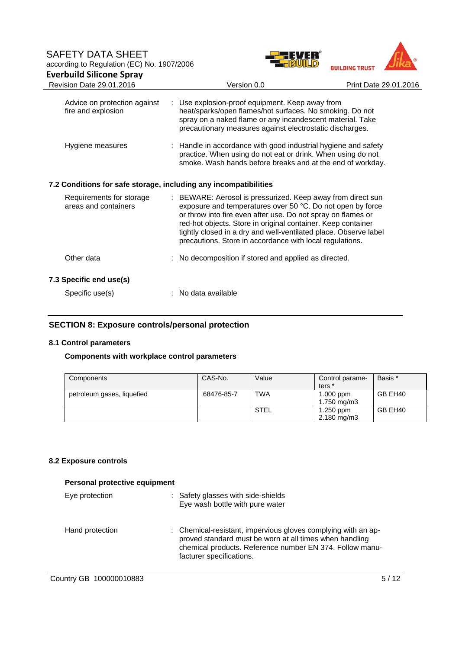



| Advice on protection against<br>fire and explosion               | : Use explosion-proof equipment. Keep away from<br>heat/sparks/open flames/hot surfaces. No smoking. Do not<br>spray on a naked flame or any incandescent material. Take<br>precautionary measures against electrostatic discharges.                                                                                                                                                      |  |  |  |  |
|------------------------------------------------------------------|-------------------------------------------------------------------------------------------------------------------------------------------------------------------------------------------------------------------------------------------------------------------------------------------------------------------------------------------------------------------------------------------|--|--|--|--|
| Hygiene measures                                                 | : Handle in accordance with good industrial hygiene and safety<br>practice. When using do not eat or drink. When using do not<br>smoke. Wash hands before breaks and at the end of workday.                                                                                                                                                                                               |  |  |  |  |
| 7.2 Conditions for safe storage, including any incompatibilities |                                                                                                                                                                                                                                                                                                                                                                                           |  |  |  |  |
| Requirements for storage<br>areas and containers                 | : BEWARE: Aerosol is pressurized. Keep away from direct sun<br>exposure and temperatures over 50 °C. Do not open by force<br>or throw into fire even after use. Do not spray on flames or<br>red-hot objects. Store in original container. Keep container<br>tightly closed in a dry and well-ventilated place. Observe label<br>precautions. Store in accordance with local regulations. |  |  |  |  |
| Other data                                                       | : No decomposition if stored and applied as directed.                                                                                                                                                                                                                                                                                                                                     |  |  |  |  |
| 7.3 Specific end use(s)                                          |                                                                                                                                                                                                                                                                                                                                                                                           |  |  |  |  |
| Specific use(s)                                                  | : No data available                                                                                                                                                                                                                                                                                                                                                                       |  |  |  |  |

# **SECTION 8: Exposure controls/personal protection**

# **8.1 Control parameters**

## **Components with workplace control parameters**

| Components                 | CAS-No.    | Value       | Control parame-<br>ters <sup>*</sup>  | Basis * |
|----------------------------|------------|-------------|---------------------------------------|---------|
| petroleum gases, liquefied | 68476-85-7 | <b>TWA</b>  | $1.000$ ppm<br>$1.750$ mg/m $3$       | GB EH40 |
|                            |            | <b>STEL</b> | $1.250$ ppm<br>$2.180 \text{ mg/m}$ 3 | GB EH40 |

# **8.2 Exposure controls**

| Personal protective equipment |                                                                                                                                                                                                                  |  |  |  |  |
|-------------------------------|------------------------------------------------------------------------------------------------------------------------------------------------------------------------------------------------------------------|--|--|--|--|
| Eye protection                | : Safety glasses with side-shields<br>Eye wash bottle with pure water                                                                                                                                            |  |  |  |  |
| Hand protection               | : Chemical-resistant, impervious gloves complying with an ap-<br>proved standard must be worn at all times when handling<br>chemical products. Reference number EN 374. Follow manu-<br>facturer specifications. |  |  |  |  |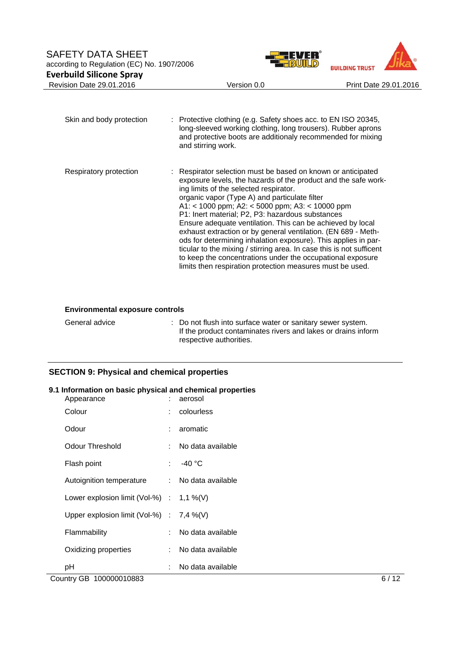



Skin and body protection : Protective clothing (e.g. Safety shoes acc. to EN ISO 20345, long-sleeved working clothing, long trousers). Rubber aprons and protective boots are additionaly recommended for mixing and stirring work. Respiratory protection : Respirator selection must be based on known or anticipated exposure levels, the hazards of the product and the safe working limits of the selected respirator. organic vapor (Type A) and particulate filter A1: < 1000 ppm; A2: < 5000 ppm; A3: < 10000 ppm P1: Inert material; P2, P3: hazardous substances Ensure adequate ventilation. This can be achieved by local exhaust extraction or by general ventilation. (EN 689 - Methods for determining inhalation exposure). This applies in particular to the mixing / stirring area. In case this is not sufficent to keep the concentrations under the occupational exposure limits then respiration protection measures must be used.

#### **Environmental exposure controls**

General advice : Do not flush into surface water or sanitary sewer system. If the product contaminates rivers and lakes or drains inform respective authorities.

# **SECTION 9: Physical and chemical properties**

#### **9.1 Information on basic physical and chemical properties**

| Appearance                                  | aerosol             |
|---------------------------------------------|---------------------|
| Colour                                      | colourless          |
| Odour                                       | aromatic            |
| Odour Threshold                             | No data available   |
| Flash point                                 | : $-40 °C$          |
| Autoignition temperature                    | : No data available |
| Lower explosion limit (Vol-%) : $1,1\%$ (V) |                     |
| Upper explosion limit (Vol-%) : $7,4\%$ (V) |                     |
| Flammability                                | : No data available |
| Oxidizing properties                        | No data available   |
| рH                                          | No data available   |

Country GB 100000010883 6 / 12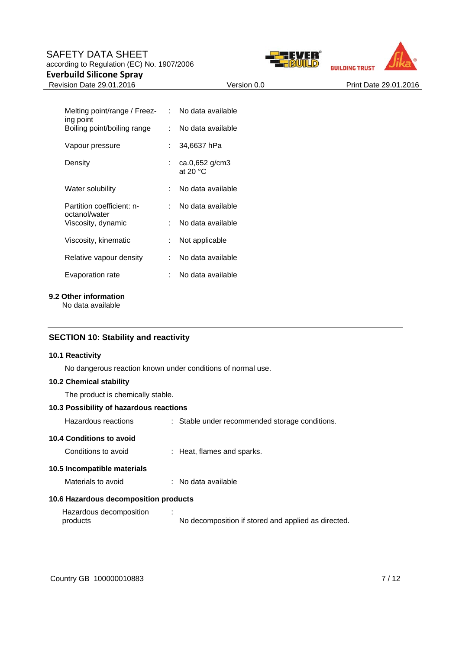# SAFETY DATA SHEET according to Regulation (EC) No. 1907/2006

# **Everbuild Silicone Spray**





Revision Date 29.01.2016 **Version 0.0** Version 0.0 Print Date 29.01.2016

| Melting point/range / Freez-<br>ing point  |     | No data available              |
|--------------------------------------------|-----|--------------------------------|
| Boiling point/boiling range                | t.  | No data available              |
| Vapour pressure                            | t.  | 34,6637 hPa                    |
| Density                                    |     | $ca.0,652$ g/cm3<br>at 20 $°C$ |
| Water solubility                           | × 1 | No data available              |
| Partition coefficient: n-<br>octanol/water |     | No data available              |
| Viscosity, dynamic                         | ٠.  | No data available              |
| Viscosity, kinematic                       | t.  | Not applicable                 |
| Relative vapour density                    | t.  | No data available              |
| Evaporation rate                           |     | No data available              |

#### **9.2 Other information**

No data available

# **SECTION 10: Stability and reactivity**

# **10.1 Reactivity**

No dangerous reaction known under conditions of normal use.

# **10.2 Chemical stability**

The product is chemically stable.

## **10.3 Possibility of hazardous reactions**

| Hazardous reactions                   | : Stable under recommended storage conditions.      |
|---------------------------------------|-----------------------------------------------------|
| 10.4 Conditions to avoid              |                                                     |
| Conditions to avoid                   | : Heat, flames and sparks.                          |
| 10.5 Incompatible materials           |                                                     |
| Materials to avoid                    | $\therefore$ No data available.                     |
| 10.6 Hazardous decomposition products |                                                     |
| Hazardous decomposition<br>products   | No decomposition if stored and applied as directed. |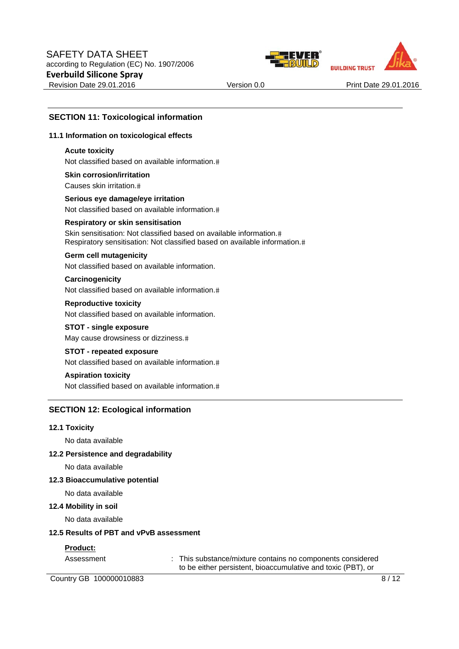



# **SECTION 11: Toxicological information**

#### **11.1 Information on toxicological effects**

#### **Acute toxicity**

Not classified based on available information.

**Skin corrosion/irritation** Causes skin irritation.

**Serious eye damage/eye irritation** Not classified based on available information.

#### **Respiratory or skin sensitisation**

Skin sensitisation: Not classified based on available information.# Respiratory sensitisation: Not classified based on available information.

#### **Germ cell mutagenicity**

Not classified based on available information.

## **Carcinogenicity**

Not classified based on available information.

## **Reproductive toxicity**

Not classified based on available information.

#### **STOT - single exposure**

May cause drowsiness or dizziness.

# **STOT - repeated exposure**

Not classified based on available information.

## **Aspiration toxicity**

Not classified based on available information.

# **SECTION 12: Ecological information**

#### **12.1 Toxicity**

No data available

#### **12.2 Persistence and degradability**

No data available

#### **12.3 Bioaccumulative potential**

No data available

#### **12.4 Mobility in soil**

No data available

#### **12.5 Results of PBT and vPvB assessment**

#### **Product:**

Assessment : This substance/mixture contains no components considered to be either persistent, bioaccumulative and toxic (PBT), or

Country GB 100000010883 8/12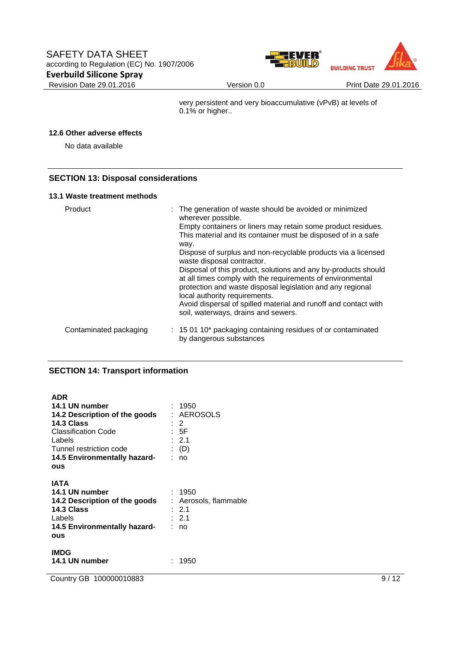



very persistent and very bioaccumulative (vPvB) at levels of 0.1% or higher..

# **12.6 Other adverse effects**

No data available

# **SECTION 13: Disposal considerations**

#### **13.1 Waste treatment methods**

| Product                | : The generation of waste should be avoided or minimized<br>wherever possible.<br>Empty containers or liners may retain some product residues.<br>This material and its container must be disposed of in a safe<br>way.<br>Dispose of surplus and non-recyclable products via a licensed<br>waste disposal contractor.<br>Disposal of this product, solutions and any by-products should<br>at all times comply with the requirements of environmental<br>protection and waste disposal legislation and any regional<br>local authority requirements.<br>Avoid dispersal of spilled material and runoff and contact with<br>soil, waterways, drains and sewers. |
|------------------------|-----------------------------------------------------------------------------------------------------------------------------------------------------------------------------------------------------------------------------------------------------------------------------------------------------------------------------------------------------------------------------------------------------------------------------------------------------------------------------------------------------------------------------------------------------------------------------------------------------------------------------------------------------------------|
| Contaminated packaging | : 15 01 10* packaging containing residues of or contaminated<br>by dangerous substances                                                                                                                                                                                                                                                                                                                                                                                                                                                                                                                                                                         |

# **SECTION 14: Transport information**

| <b>ADR</b><br>14.1 UN number<br>14.2 Description of the goods<br>14.3 Class<br><b>Classification Code</b><br>Labels<br>Tunnel restriction code<br>14.5 Environmentally hazard-<br>ous | : 1950<br>: AEROSOLS<br>$\cdot$ 2<br>: 5F<br>: 2.1<br>(D)<br>: no |
|---------------------------------------------------------------------------------------------------------------------------------------------------------------------------------------|-------------------------------------------------------------------|
| IATA<br>14.1 UN number<br>14.2 Description of the goods<br>14.3 Class<br>Labels<br>14.5 Environmentally hazard-<br>ous                                                                | : 1950<br>: Aerosols, flammable<br>: 2.1<br>: 2.1<br>: no         |
| <b>IMDG</b><br>14.1 UN number                                                                                                                                                         | 1950                                                              |

Country GB 100000010883 9/12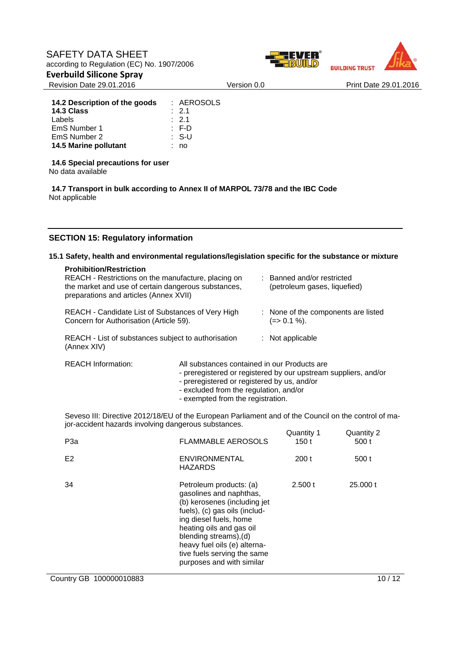



Revision Date 29.01.2016 Version 0.0 Print Date 29.01.2016

| 14.2 Description of the goods | : AEROSOLS       |
|-------------------------------|------------------|
| 14.3 Class                    | $\therefore$ 2.1 |
| Labels                        | $\div$ 2.1       |
| EmS Number 1                  | $\therefore$ F-D |
| EmS Number 2                  | $\therefore$ S-U |
| 14.5 Marine pollutant         | no               |

**14.6 Special precautions for user** 

No data available

**14.7 Transport in bulk according to Annex II of MARPOL 73/78 and the IBC Code**  Not applicable

# **SECTION 15: Regulatory information**

# **15.1 Safety, health and environmental regulations/legislation specific for the substance or mixture**

| <b>Prohibition/Restriction</b><br>REACH - Restrictions on the manufacture, placing on<br>the market and use of certain dangerous substances,<br>preparations and articles (Annex XVII) |  |  | : Banned and/or restricted<br>(petroleum gases, liquefied)      |
|----------------------------------------------------------------------------------------------------------------------------------------------------------------------------------------|--|--|-----------------------------------------------------------------|
| REACH - Candidate List of Substances of Very High<br>Concern for Authorisation (Article 59).                                                                                           |  |  | : None of the components are listed<br>(=> 0.1 %).              |
| REACH - List of substances subject to authorisation<br>(Annex XIV)                                                                                                                     |  |  | $:$ Not applicable                                              |
| <b>REACH Information:</b><br>All substances contained in our Products are                                                                                                              |  |  | - preregistered or registered by our upstream suppliers, and/or |

- preregistered or registered by us, and/or
- excluded from the regulation, and/or
- exempted from the registration.

Seveso III: Directive 2012/18/EU of the European Parliament and of the Council on the control of major-accident hazards involving dangerous substances.

| P <sub>3</sub> a | <b>FLAMMABLE AEROSOLS</b>                                                                                                                                                                                                                                                                       | Quantity 1<br>150 t | Quantity 2<br>500 t |
|------------------|-------------------------------------------------------------------------------------------------------------------------------------------------------------------------------------------------------------------------------------------------------------------------------------------------|---------------------|---------------------|
| E <sub>2</sub>   | <b>ENVIRONMENTAL</b><br><b>HAZARDS</b>                                                                                                                                                                                                                                                          | 200t                | 500 t               |
| 34               | Petroleum products: (a)<br>gasolines and naphthas,<br>(b) kerosenes (including jet<br>fuels), (c) gas oils (includ-<br>ing diesel fuels, home<br>heating oils and gas oil<br>blending streams), (d)<br>heavy fuel oils (e) alterna-<br>tive fuels serving the same<br>purposes and with similar | 2.500 t             | 25,000 t            |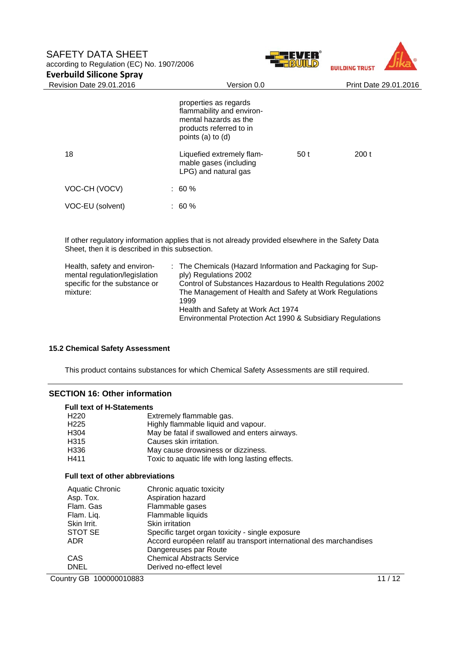



| <b>Revision Date 29.01.2016</b> | Version 0.0                                                                                                                 | Print Date 29.01.2016 |      |
|---------------------------------|-----------------------------------------------------------------------------------------------------------------------------|-----------------------|------|
|                                 | properties as regards<br>flammability and environ-<br>mental hazards as the<br>products referred to in<br>points (a) to (d) |                       |      |
| 18                              | Liquefied extremely flam-<br>mable gases (including<br>LPG) and natural gas                                                 | 50 t                  | 200t |
| VOC-CH (VOCV)                   | $: 60 \%$                                                                                                                   |                       |      |
| VOC-EU (solvent)                | $: 60 \%$                                                                                                                   |                       |      |
|                                 |                                                                                                                             |                       |      |

If other regulatory information applies that is not already provided elsewhere in the Safety Data Sheet, then it is described in this subsection.

| Health, safety and environ-<br>mental regulation/legislation<br>specific for the substance or<br>mixture: | : The Chemicals (Hazard Information and Packaging for Sup-<br>ply) Regulations 2002<br>Control of Substances Hazardous to Health Regulations 2002<br>The Management of Health and Safety at Work Regulations<br>1999<br>Health and Safety at Work Act 1974<br>Environmental Protection Act 1990 & Subsidiary Regulations |
|-----------------------------------------------------------------------------------------------------------|--------------------------------------------------------------------------------------------------------------------------------------------------------------------------------------------------------------------------------------------------------------------------------------------------------------------------|
|                                                                                                           |                                                                                                                                                                                                                                                                                                                          |

#### **15.2 Chemical Safety Assessment**

This product contains substances for which Chemical Safety Assessments are still required.

# **SECTION 16: Other information**

#### **Full text of H-Statements**

| H <sub>220</sub> | Extremely flammable gas.                         |
|------------------|--------------------------------------------------|
| H <sub>225</sub> | Highly flammable liquid and vapour.              |
| H304             | May be fatal if swallowed and enters airways.    |
| H315             | Causes skin irritation.                          |
| H336             | May cause drowsiness or dizziness.               |
| H411             | Toxic to aquatic life with long lasting effects. |
|                  |                                                  |

# **Full text of other abbreviations**

| Aquatic Chronic | Chronic aquatic toxicity                                            |
|-----------------|---------------------------------------------------------------------|
| Asp. Tox.       | Aspiration hazard                                                   |
| Flam, Gas       | Flammable gases                                                     |
| Flam. Liq.      | Flammable liquids                                                   |
| Skin Irrit.     | Skin irritation                                                     |
| STOT SE         | Specific target organ toxicity - single exposure                    |
| <b>ADR</b>      | Accord européen relatif au transport international des marchandises |
|                 | Dangereuses par Route                                               |
| <b>CAS</b>      | <b>Chemical Abstracts Service</b>                                   |
| <b>DNEL</b>     | Derived no-effect level                                             |

Country GB 100000010883 11/12